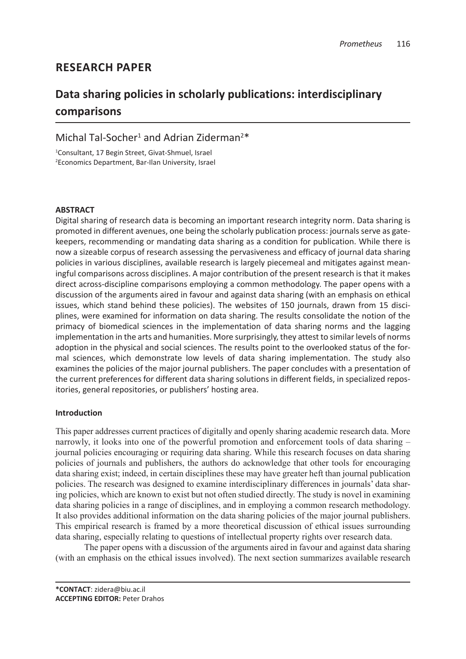# **RESEARCH PAPER**

# **Data sharing policies in scholarly publications: interdisciplinary comparisons**

## Michal Tal-Socher<sup>1</sup> and Adrian Ziderman<sup>2\*</sup>

1 Consultant, 17 Begin Street, Givat-Shmuel, Israel 2 Economics Department, Bar-Ilan University, Israel

## **ABSTRACT**

Digital sharing of research data is becoming an important research integrity norm. Data sharing is promoted in different avenues, one being the scholarly publication process: journals serve as gatekeepers, recommending or mandating data sharing as a condition for publication. While there is now a sizeable corpus of research assessing the pervasiveness and efficacy of journal data sharing policies in various disciplines, available research is largely piecemeal and mitigates against meaningful comparisons across disciplines. A major contribution of the present research is that it makes direct across-discipline comparisons employing a common methodology. The paper opens with a discussion of the arguments aired in favour and against data sharing (with an emphasis on ethical issues, which stand behind these policies). The websites of 150 journals, drawn from 15 disciplines, were examined for information on data sharing. The results consolidate the notion of the primacy of biomedical sciences in the implementation of data sharing norms and the lagging implementation in the arts and humanities. More surprisingly, they attest to similar levels of norms adoption in the physical and social sciences. The results point to the overlooked status of the formal sciences, which demonstrate low levels of data sharing implementation. The study also examines the policies of the major journal publishers. The paper concludes with a presentation of the current preferences for different data sharing solutions in different fields, in specialized repositories, general repositories, or publishers' hosting area.

## **Introduction**

This paper addresses current practices of digitally and openly sharing academic research data. More narrowly, it looks into one of the powerful promotion and enforcement tools of data sharing – journal policies encouraging or requiring data sharing. While this research focuses on data sharing policies of journals and publishers, the authors do acknowledge that other tools for encouraging data sharing exist; indeed, in certain disciplines these may have greater heft than journal publication policies. The research was designed to examine interdisciplinary differences in journals' data sharing policies, which are known to exist but not often studied directly. The study is novel in examining data sharing policies in a range of disciplines, and in employing a common research methodology. It also provides additional information on the data sharing policies of the major journal publishers. This empirical research is framed by a more theoretical discussion of ethical issues surrounding data sharing, especially relating to questions of intellectual property rights over research data.

The paper opens with a discussion of the arguments aired in favour and against data sharing (with an emphasis on the ethical issues involved). The next section summarizes available research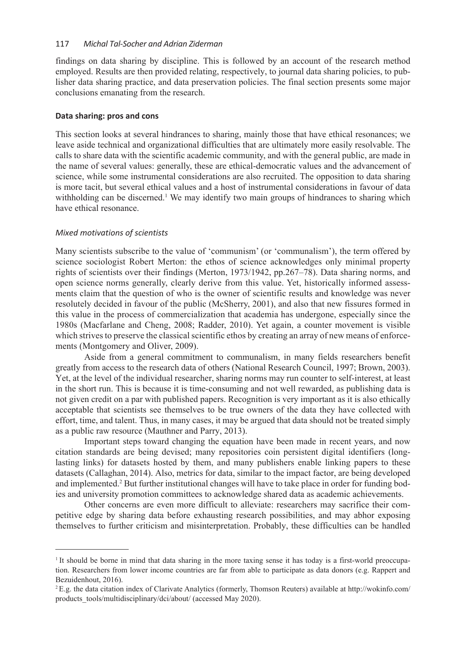findings on data sharing by discipline. This is followed by an account of the research method employed. Results are then provided relating, respectively, to journal data sharing policies, to publisher data sharing practice, and data preservation policies. The final section presents some major conclusions emanating from the research.

#### **Data sharing: pros and cons**

This section looks at several hindrances to sharing, mainly those that have ethical resonances; we leave aside technical and organizational difficulties that are ultimately more easily resolvable. The calls to share data with the scientific academic community, and with the general public, are made in the name of several values: generally, these are ethical-democratic values and the advancement of science, while some instrumental considerations are also recruited. The opposition to data sharing is more tacit, but several ethical values and a host of instrumental considerations in favour of data withholding can be discerned.<sup>1</sup> We may identify two main groups of hindrances to sharing which have ethical resonance.

#### *Mixed motivations of scientists*

Many scientists subscribe to the value of 'communism' (or 'communalism'), the term offered by science sociologist Robert Merton: the ethos of science acknowledges only minimal property rights of scientists over their findings (Merton, 1973/1942, pp.267–78). Data sharing norms, and open science norms generally, clearly derive from this value. Yet, historically informed assessments claim that the question of who is the owner of scientific results and knowledge was never resolutely decided in favour of the public (McSherry, 2001), and also that new fissures formed in this value in the process of commercialization that academia has undergone, especially since the 1980s (Macfarlane and Cheng, 2008; Radder, 2010). Yet again, a counter movement is visible which strives to preserve the classical scientific ethos by creating an array of new means of enforcements (Montgomery and Oliver, 2009).

Aside from a general commitment to communalism, in many fields researchers benefit greatly from access to the research data of others (National Research Council, 1997; Brown, 2003). Yet, at the level of the individual researcher, sharing norms may run counter to self-interest, at least in the short run. This is because it is time-consuming and not well rewarded, as publishing data is not given credit on a par with published papers. Recognition is very important as it is also ethically acceptable that scientists see themselves to be true owners of the data they have collected with effort, time, and talent. Thus, in many cases, it may be argued that data should not be treated simply as a public raw resource (Mauthner and Parry, 2013).

Important steps toward changing the equation have been made in recent years, and now citation standards are being devised; many repositories coin persistent digital identifiers (longlasting links) for datasets hosted by them, and many publishers enable linking papers to these datasets (Callaghan, 2014). Also, metrics for data, similar to the impact factor, are being developed and implemented.<sup>2</sup> But further institutional changes will have to take place in order for funding bodies and university promotion committees to acknowledge shared data as academic achievements.

Other concerns are even more difficult to alleviate: researchers may sacrifice their competitive edge by sharing data before exhausting research possibilities, and may abhor exposing themselves to further criticism and misinterpretation. Probably, these difficulties can be handled

<sup>&</sup>lt;sup>1</sup> It should be borne in mind that data sharing in the more taxing sense it has today is a first-world preoccupation. Researchers from lower income countries are far from able to participate as data donors (e.g. Rappert and Bezuidenhout, 2016).

<sup>2</sup> E.g. the data citation index of Clarivate Analytics (formerly, Thomson Reuters) available at http://wokinfo.com/ products\_tools/multidisciplinary/dci/about/ (accessed May 2020).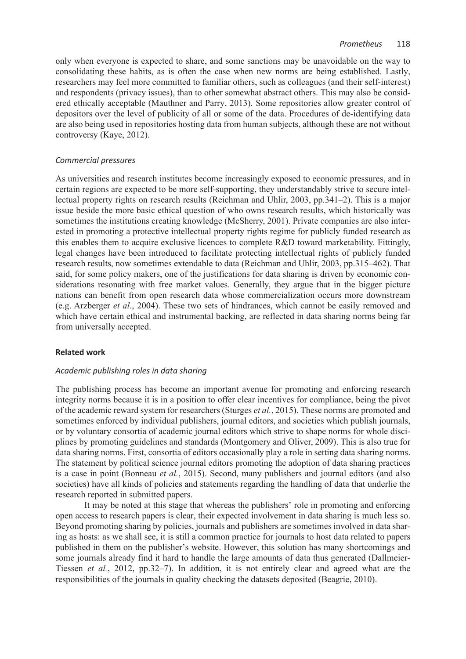only when everyone is expected to share, and some sanctions may be unavoidable on the way to consolidating these habits, as is often the case when new norms are being established. Lastly, researchers may feel more committed to familiar others, such as colleagues (and their self-interest) and respondents (privacy issues), than to other somewhat abstract others. This may also be considered ethically acceptable (Mauthner and Parry, 2013). Some repositories allow greater control of depositors over the level of publicity of all or some of the data. Procedures of de-identifying data are also being used in repositories hosting data from human subjects, although these are not without controversy (Kaye, 2012).

## *Commercial pressures*

As universities and research institutes become increasingly exposed to economic pressures, and in certain regions are expected to be more self-supporting, they understandably strive to secure intellectual property rights on research results (Reichman and Uhlir, 2003, pp.341–2). This is a major issue beside the more basic ethical question of who owns research results, which historically was sometimes the institutions creating knowledge (McSherry, 2001). Private companies are also interested in promoting a protective intellectual property rights regime for publicly funded research as this enables them to acquire exclusive licences to complete R&D toward marketability. Fittingly, legal changes have been introduced to facilitate protecting intellectual rights of publicly funded research results, now sometimes extendable to data (Reichman and Uhlir, 2003, pp.315–462). That said, for some policy makers, one of the justifications for data sharing is driven by economic considerations resonating with free market values. Generally, they argue that in the bigger picture nations can benefit from open research data whose commercialization occurs more downstream (e.g. Arzberger *et al*., 2004). These two sets of hindrances, which cannot be easily removed and which have certain ethical and instrumental backing, are reflected in data sharing norms being far from universally accepted.

#### **Related work**

#### *Academic publishing roles in data sharing*

The publishing process has become an important avenue for promoting and enforcing research integrity norms because it is in a position to offer clear incentives for compliance, being the pivot of the academic reward system for researchers (Sturges *et al.*, 2015). These norms are promoted and sometimes enforced by individual publishers, journal editors, and societies which publish journals, or by voluntary consortia of academic journal editors which strive to shape norms for whole disciplines by promoting guidelines and standards (Montgomery and Oliver, 2009). This is also true for data sharing norms. First, consortia of editors occasionally play a role in setting data sharing norms. The statement by political science journal editors promoting the adoption of data sharing practices is a case in point (Bonneau *et al.*, 2015). Second, many publishers and journal editors (and also societies) have all kinds of policies and statements regarding the handling of data that underlie the research reported in submitted papers.

It may be noted at this stage that whereas the publishers' role in promoting and enforcing open access to research papers is clear, their expected involvement in data sharing is much less so. Beyond promoting sharing by policies, journals and publishers are sometimes involved in data sharing as hosts: as we shall see, it is still a common practice for journals to host data related to papers published in them on the publisher's website. However, this solution has many shortcomings and some journals already find it hard to handle the large amounts of data thus generated (Dallmeier-Tiessen *et al.*, 2012, pp.32–7). In addition, it is not entirely clear and agreed what are the responsibilities of the journals in quality checking the datasets deposited (Beagrie, 2010).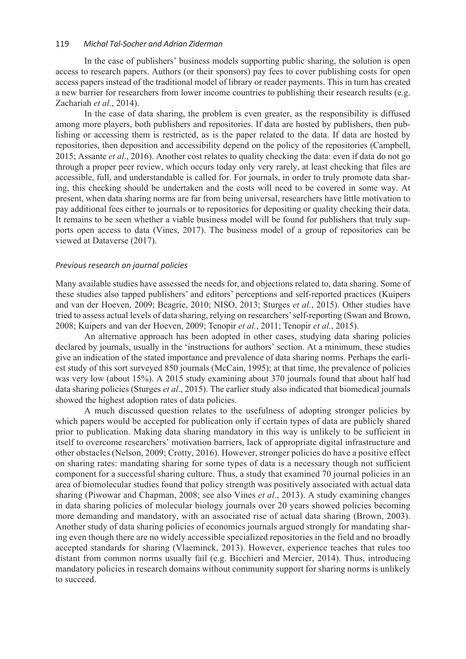In the case of publishers' business models supporting public sharing, the solution is open access to research papers. Authors (or their sponsors) pay fees to cover publishing costs for open access papers instead of the traditional model of library or reader payments. This in turn has created a new barrier for researchers from lower income countries to publishing their research results (e.g. Zachariah *et al.*, 2014).

In the case of data sharing, the problem is even greater, as the responsibility is diffused among more players, both publishers and repositories. If data are hosted by publishers, then publishing or accessing them is restricted, as is the paper related to the data. If data are hosted by repositories, then deposition and accessibility depend on the policy of the repositories (Campbell, 2015; Assante *et al*., 2016). Another cost relates to quality checking the data: even if data do not go through a proper peer review, which occurs today only very rarely, at least checking that files are accessible, full, and understandable is called for. For journals, in order to truly promote data sharing, this checking should be undertaken and the costs will need to be covered in some way. At present, when data sharing norms are far from being universal, researchers have little motivation to pay additional fees either to journals or to repositories for depositing or quality checking their data. It remains to be seen whether a viable business model will be found for publishers that truly supports open access to data (Vines, 2017). The business model of a group of repositories can be viewed at Dataverse (2017).

#### *Previous research on journal policies*

Many available studies have assessed the needs for, and objections related to, data sharing. Some of these studies also tapped publishers' and editors' perceptions and self-reported practices (Kuipers and van der Hoeven, 2009; Beagrie, 2010; NISO, 2013; Sturges *et al.*, 2015). Other studies have tried to assess actual levels of data sharing, relying on researchers' self-reporting (Swan and Brown, 2008; Kuipers and van der Hoeven, 2009; Tenopir *et al.*, 2011; Tenopir *et al.*, 2015).

An alternative approach has been adopted in other cases, studying data sharing policies declared by journals, usually in the 'instructions for authors' section. At a minimum, these studies give an indication of the stated importance and prevalence of data sharing norms. Perhaps the earliest study of this sort surveyed 850 journals (McCain, 1995); at that time, the prevalence of policies was very low (about 15%). A 2015 study examining about 370 journals found that about half had data sharing policies (Sturges *et al*., 2015). The earlier study also indicated that biomedical journals showed the highest adoption rates of data policies.

A much discussed question relates to the usefulness of adopting stronger policies by which papers would be accepted for publication only if certain types of data are publicly shared prior to publication. Making data sharing mandatory in this way is unlikely to be sufficient in itself to overcome researchers' motivation barriers, lack of appropriate digital infrastructure and other obstacles (Nelson, 2009; Crotty, 2016). However, stronger policies do have a positive effect on sharing rates: mandating sharing for some types of data is a necessary though not sufficient component for a successful sharing culture. Thus, a study that examined 70 journal policies in an area of biomolecular studies found that policy strength was positively associated with actual data sharing (Piwowar and Chapman, 2008; see also Vines *et al.*, 2013). A study examining changes in data sharing policies of molecular biology journals over 20 years showed policies becoming more demanding and mandatory, with an associated rise of actual data sharing (Brown, 2003). Another study of data sharing policies of economics journals argued strongly for mandating sharing even though there are no widely accessible specialized repositories in the field and no broadly accepted standards for sharing (Vlaeminck, 2013). However, experience teaches that rules too distant from common norms usually fail (e.g. Bicchieri and Mercier, 2014). Thus, introducing mandatory policies in research domains without community support for sharing norms is unlikely to succeed.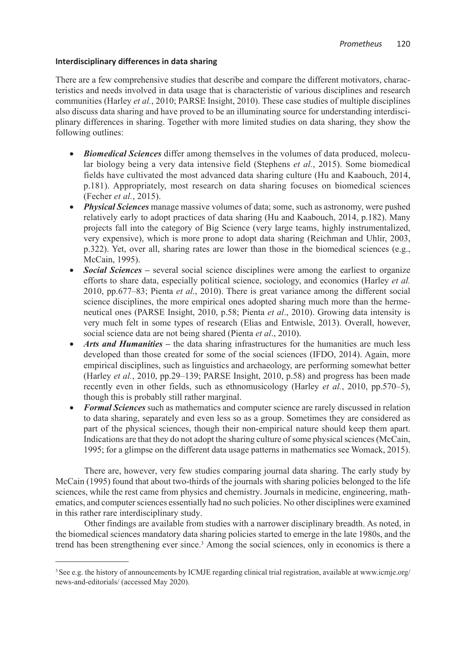## **Interdisciplinary differences in data sharing**

There are a few comprehensive studies that describe and compare the different motivators, characteristics and needs involved in data usage that is characteristic of various disciplines and research communities (Harley *et al.*, 2010; PARSE Insight, 2010). These case studies of multiple disciplines also discuss data sharing and have proved to be an illuminating source for understanding interdisciplinary differences in sharing. Together with more limited studies on data sharing, they show the following outlines:

- *Biomedical Sciences* differ among themselves in the volumes of data produced, molecular biology being a very data intensive field (Stephens *et al.*, 2015). Some biomedical fields have cultivated the most advanced data sharing culture (Hu and Kaabouch, 2014, p.181). Appropriately, most research on data sharing focuses on biomedical sciences (Fecher *et al.*, 2015).
- *Physical Sciences* manage massive volumes of data; some, such as astronomy, were pushed relatively early to adopt practices of data sharing (Hu and Kaabouch, 2014, p.182). Many projects fall into the category of Big Science (very large teams, highly instrumentalized, very expensive), which is more prone to adopt data sharing (Reichman and Uhlir, 2003, p.322). Yet, over all, sharing rates are lower than those in the biomedical sciences (e.g., McCain, 1995).
- *Social Sciences –* several social science disciplines were among the earliest to organize efforts to share data, especially political science, sociology, and economics (Harley *et al.* 2010, pp.677–83; Pienta *et al*., 2010). There is great variance among the different social science disciplines, the more empirical ones adopted sharing much more than the hermeneutical ones (PARSE Insight, 2010, p.58; Pienta *et al*., 2010). Growing data intensity is very much felt in some types of research (Elias and Entwisle, 2013). Overall, however, social science data are not being shared (Pienta *et al*., 2010).
- *Arts and Humanities* the data sharing infrastructures for the humanities are much less developed than those created for some of the social sciences (IFDO, 2014). Again, more empirical disciplines, such as linguistics and archaeology, are performing somewhat better (Harley *et al.*, 2010, pp.29–139; PARSE Insight, 2010, p.58) and progress has been made recently even in other fields, such as ethnomusicology (Harley *et al.*, 2010, pp.570–5), though this is probably still rather marginal.
- *Formal Sciences* such as mathematics and computer science are rarely discussed in relation to data sharing, separately and even less so as a group. Sometimes they are considered as part of the physical sciences, though their non-empirical nature should keep them apart. Indications are that they do not adopt the sharing culture of some physical sciences (McCain, 1995; for a glimpse on the different data usage patterns in mathematics see Womack, 2015).

There are, however, very few studies comparing journal data sharing. The early study by McCain (1995) found that about two-thirds of the journals with sharing policies belonged to the life sciences, while the rest came from physics and chemistry. Journals in medicine, engineering, mathematics, and computer sciences essentially had no such policies. No other disciplines were examined in this rather rare interdisciplinary study.

Other findings are available from studies with a narrower disciplinary breadth. As noted, in the biomedical sciences mandatory data sharing policies started to emerge in the late 1980s, and the trend has been strengthening ever since.<sup>3</sup> Among the social sciences, only in economics is there a

<sup>&</sup>lt;sup>3</sup> See e.g. the history of announcements by ICMJE regarding clinical trial registration, available at www.icmje.org/ news-and-editorials/ (accessed May 2020).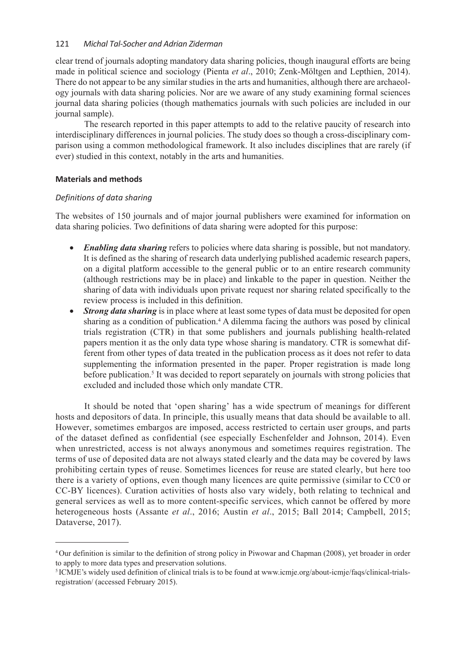clear trend of journals adopting mandatory data sharing policies, though inaugural efforts are being made in political science and sociology (Pienta *et al*., 2010; Zenk-Möltgen and Lepthien, 2014). There do not appear to be any similar studies in the arts and humanities, although there are archaeology journals with data sharing policies. Nor are we aware of any study examining formal sciences journal data sharing policies (though mathematics journals with such policies are included in our journal sample).

The research reported in this paper attempts to add to the relative paucity of research into interdisciplinary differences in journal policies. The study does so though a cross-disciplinary comparison using a common methodological framework. It also includes disciplines that are rarely (if ever) studied in this context, notably in the arts and humanities.

## **Materials and methods**

## *Definitions of data sharing*

The websites of 150 journals and of major journal publishers were examined for information on data sharing policies. Two definitions of data sharing were adopted for this purpose:

- *Enabling data sharing* refers to policies where data sharing is possible, but not mandatory. It is defined as the sharing of research data underlying published academic research papers, on a digital platform accessible to the general public or to an entire research community (although restrictions may be in place) and linkable to the paper in question. Neither the sharing of data with individuals upon private request nor sharing related specifically to the review process is included in this definition.
- *Strong data sharing* is in place where at least some types of data must be deposited for open sharing as a condition of publication.<sup>4</sup> A dilemma facing the authors was posed by clinical trials registration (CTR) in that some publishers and journals publishing health-related papers mention it as the only data type whose sharing is mandatory. CTR is somewhat different from other types of data treated in the publication process as it does not refer to data supplementing the information presented in the paper. Proper registration is made long before publication.<sup>5</sup> It was decided to report separately on journals with strong policies that excluded and included those which only mandate CTR.

It should be noted that 'open sharing' has a wide spectrum of meanings for different hosts and depositors of data. In principle, this usually means that data should be available to all. However, sometimes embargos are imposed, access restricted to certain user groups, and parts of the dataset defined as confidential (see especially Eschenfelder and Johnson, 2014). Even when unrestricted, access is not always anonymous and sometimes requires registration. The terms of use of deposited data are not always stated clearly and the data may be covered by laws prohibiting certain types of reuse. Sometimes licences for reuse are stated clearly, but here too there is a variety of options, even though many licences are quite permissive (similar to CC0 or CC-BY licences). Curation activities of hosts also vary widely, both relating to technical and general services as well as to more content-specific services, which cannot be offered by more heterogeneous hosts (Assante *et al*., 2016; Austin *et al*., 2015; Ball 2014; Campbell, 2015; Dataverse, 2017).

<sup>4</sup> Our definition is similar to the definition of strong policy in Piwowar and Chapman (2008), yet broader in order to apply to more data types and preservation solutions.

<sup>&</sup>lt;sup>5</sup> ICMJE's widely used definition of clinical trials is to be found at www.icmje.org/about-icmje/faqs/clinical-trialsregistration/ (accessed February 2015).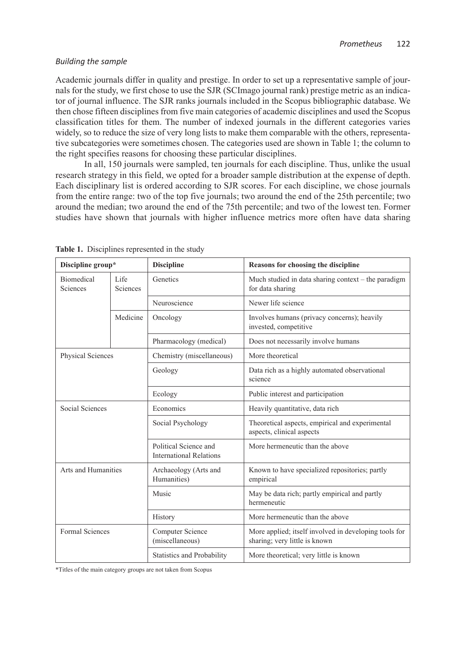### *Building the sample*

Academic journals differ in quality and prestige. In order to set up a representative sample of journals for the study, we first chose to use the SJR (SCImago journal rank) prestige metric as an indicator of journal influence. The SJR ranks journals included in the Scopus bibliographic database. We then chose fifteen disciplines from five main categories of academic disciplines and used the Scopus classification titles for them. The number of indexed journals in the different categories varies widely, so to reduce the size of very long lists to make them comparable with the others, representative subcategories were sometimes chosen. The categories used are shown in Table 1; the column to the right specifies reasons for choosing these particular disciplines.

In all, 150 journals were sampled, ten journals for each discipline. Thus, unlike the usual research strategy in this field, we opted for a broader sample distribution at the expense of depth. Each disciplinary list is ordered according to SJR scores. For each discipline, we chose journals from the entire range: two of the top five journals; two around the end of the 25th percentile; two around the median; two around the end of the 75th percentile; and two of the lowest ten. Former studies have shown that journals with higher influence metrics more often have data sharing

| Discipline group*                                 |  | <b>Discipline</b>                                       | <b>Reasons for choosing the discipline</b>                                             |  |
|---------------------------------------------------|--|---------------------------------------------------------|----------------------------------------------------------------------------------------|--|
| <b>Biomedical</b><br>Life<br>Sciences<br>Sciences |  | Genetics                                                | Much studied in data sharing context – the paradigm<br>for data sharing                |  |
|                                                   |  | Neuroscience                                            | Newer life science                                                                     |  |
| Medicine                                          |  | Oncology                                                | Involves humans (privacy concerns); heavily<br>invested, competitive                   |  |
|                                                   |  | Pharmacology (medical)                                  | Does not necessarily involve humans                                                    |  |
| Physical Sciences                                 |  | Chemistry (miscellaneous)                               | More theoretical                                                                       |  |
|                                                   |  | Geology                                                 | Data rich as a highly automated observational<br>science                               |  |
|                                                   |  | Ecology                                                 | Public interest and participation                                                      |  |
| Social Sciences                                   |  | Economics                                               | Heavily quantitative, data rich                                                        |  |
|                                                   |  | Social Psychology                                       | Theoretical aspects, empirical and experimental<br>aspects, clinical aspects           |  |
|                                                   |  | Political Science and<br><b>International Relations</b> | More hermeneutic than the above                                                        |  |
| Arts and Humanities                               |  | Archaeology (Arts and<br>Humanities)                    | Known to have specialized repositories; partly<br>empirical                            |  |
|                                                   |  | Music                                                   | May be data rich; partly empirical and partly<br>hermeneutic                           |  |
|                                                   |  | History                                                 | More hermeneutic than the above                                                        |  |
| Formal Sciences                                   |  | <b>Computer Science</b><br>(miscellaneous)              | More applied; itself involved in developing tools for<br>sharing; very little is known |  |
|                                                   |  | <b>Statistics and Probability</b>                       | More theoretical; very little is known                                                 |  |

**Table 1.** Disciplines represented in the study

\*Titles of the main category groups are not taken from Scopus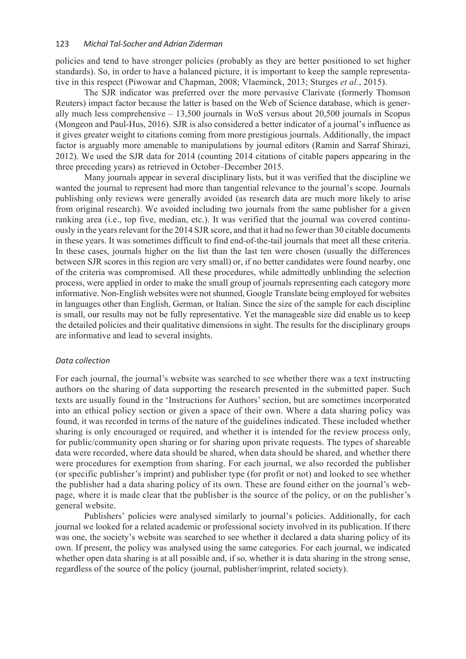policies and tend to have stronger policies (probably as they are better positioned to set higher standards). So, in order to have a balanced picture, it is important to keep the sample representative in this respect (Piwowar and Chapman, 2008; Vlaeminck, 2013; Sturges *et al.*, 2015).

The SJR indicator was preferred over the more pervasive Clarivate (formerly Thomson Reuters) impact factor because the latter is based on the Web of Science database, which is generally much less comprehensive – 13,500 journals in WoS versus about 20,500 journals in Scopus (Mongeon and Paul-Hus, 2016). SJR is also considered a better indicator of a journal's influence as it gives greater weight to citations coming from more prestigious journals. Additionally, the impact factor is arguably more amenable to manipulations by journal editors (Ramin and Sarraf Shirazi, 2012). We used the SJR data for 2014 (counting 2014 citations of citable papers appearing in the three preceding years) as retrieved in October–December 2015.

Many journals appear in several disciplinary lists, but it was verified that the discipline we wanted the journal to represent had more than tangential relevance to the journal's scope. Journals publishing only reviews were generally avoided (as research data are much more likely to arise from original research). We avoided including two journals from the same publisher for a given ranking area (i.e., top five, median, etc.). It was verified that the journal was covered continuously in the years relevant for the 2014 SJR score, and that it had no fewer than 30 citable documents in these years. It was sometimes difficult to find end-of-the-tail journals that meet all these criteria. In these cases, journals higher on the list than the last ten were chosen (usually the differences between SJR scores in this region are very small) or, if no better candidates were found nearby, one of the criteria was compromised. All these procedures, while admittedly unblinding the selection process, were applied in order to make the small group of journals representing each category more informative. Non-English websites were not shunned, Google Translate being employed for websites in languages other than English, German, or Italian. Since the size of the sample for each discipline is small, our results may not be fully representative. Yet the manageable size did enable us to keep the detailed policies and their qualitative dimensions in sight. The results for the disciplinary groups are informative and lead to several insights.

#### *Data collection*

For each journal, the journal's website was searched to see whether there was a text instructing authors on the sharing of data supporting the research presented in the submitted paper. Such texts are usually found in the 'Instructions for Authors' section, but are sometimes incorporated into an ethical policy section or given a space of their own. Where a data sharing policy was found, it was recorded in terms of the nature of the guidelines indicated. These included whether sharing is only encouraged or required, and whether it is intended for the review process only, for public/community open sharing or for sharing upon private requests. The types of shareable data were recorded, where data should be shared, when data should be shared, and whether there were procedures for exemption from sharing. For each journal, we also recorded the publisher (or specific publisher's imprint) and publisher type (for profit or not) and looked to see whether the publisher had a data sharing policy of its own. These are found either on the journal's webpage, where it is made clear that the publisher is the source of the policy, or on the publisher's general website.

Publishers' policies were analysed similarly to journal's policies. Additionally, for each journal we looked for a related academic or professional society involved in its publication. If there was one, the society's website was searched to see whether it declared a data sharing policy of its own. If present, the policy was analysed using the same categories. For each journal, we indicated whether open data sharing is at all possible and, if so, whether it is data sharing in the strong sense, regardless of the source of the policy (journal, publisher/imprint, related society).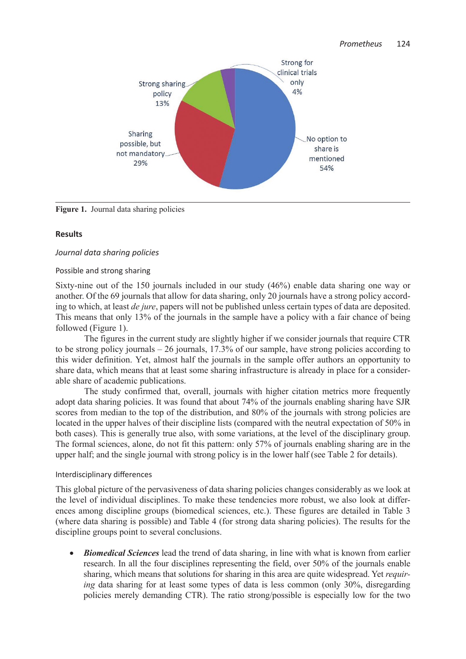

Figure 1. Journal data sharing policies

## **Results**

## *Journal data sharing policies*

## Possible and strong sharing

Sixty-nine out of the 150 journals included in our study (46%) enable data sharing one way or another. Of the 69 journals that allow for data sharing, only 20 journals have a strong policy according to which, at least *de jure*, papers will not be published unless certain types of data are deposited. This means that only 13% of the journals in the sample have a policy with a fair chance of being followed (Figure 1).

The figures in the current study are slightly higher if we consider journals that require CTR to be strong policy journals – 26 journals, 17.3% of our sample, have strong policies according to this wider definition. Yet, almost half the journals in the sample offer authors an opportunity to share data, which means that at least some sharing infrastructure is already in place for a considerable share of academic publications.

The study confirmed that, overall, journals with higher citation metrics more frequently adopt data sharing policies. It was found that about 74% of the journals enabling sharing have SJR scores from median to the top of the distribution, and 80% of the journals with strong policies are located in the upper halves of their discipline lists (compared with the neutral expectation of 50% in both cases). This is generally true also, with some variations, at the level of the disciplinary group. The formal sciences, alone, do not fit this pattern: only 57% of journals enabling sharing are in the upper half; and the single journal with strong policy is in the lower half (see Table 2 for details).

## Interdisciplinary differences

This global picture of the pervasiveness of data sharing policies changes considerably as we look at the level of individual disciplines. To make these tendencies more robust, we also look at differences among discipline groups (biomedical sciences, etc.). These figures are detailed in Table 3 (where data sharing is possible) and Table 4 (for strong data sharing policies). The results for the discipline groups point to several conclusions.

• *Biomedical Sciences* lead the trend of data sharing, in line with what is known from earlier research. In all the four disciplines representing the field, over 50% of the journals enable sharing, which means that solutions for sharing in this area are quite widespread. Yet *requiring* data sharing for at least some types of data is less common (only 30%, disregarding policies merely demanding CTR). The ratio strong/possible is especially low for the two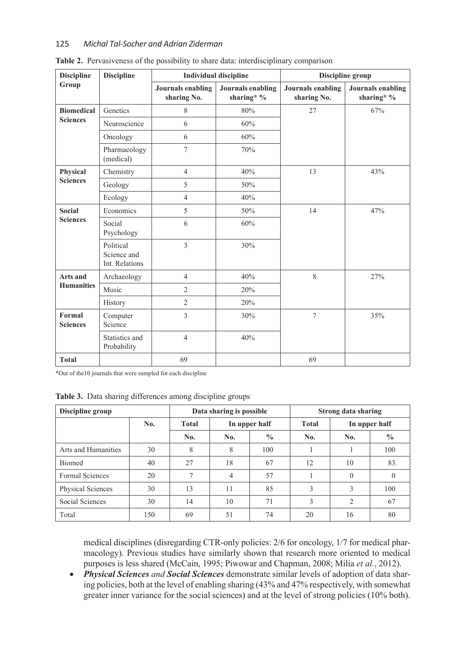| <b>Discipline</b>                | <b>Discipline</b>                          | <b>Individual discipline</b>            |                                        | Discipline group                        |                                        |  |
|----------------------------------|--------------------------------------------|-----------------------------------------|----------------------------------------|-----------------------------------------|----------------------------------------|--|
| Group                            |                                            | <b>Journals enabling</b><br>sharing No. | <b>Journals</b> enabling<br>sharing* % | <b>Journals enabling</b><br>sharing No. | <b>Journals enabling</b><br>sharing* % |  |
| <b>Biomedical</b>                | Genetics                                   | 8                                       | 80%                                    | 27                                      | 67%                                    |  |
| <b>Sciences</b>                  | Neuroscience                               | 6                                       | 60%                                    |                                         |                                        |  |
|                                  | Oncology                                   | 6                                       | 60%                                    |                                         |                                        |  |
|                                  | Pharmacology<br>(medical)                  | $\overline{7}$                          | 70%                                    |                                         |                                        |  |
| Physical                         | Chemistry                                  | $\overline{4}$                          | 40%                                    | 13                                      | 43%                                    |  |
| <b>Sciences</b>                  | Geology                                    | 5                                       | 50%                                    |                                         |                                        |  |
|                                  | Ecology                                    | $\overline{4}$                          | 40%                                    |                                         |                                        |  |
| <b>Social</b><br><b>Sciences</b> | Economics                                  | 5                                       | 50%                                    | 14                                      | 47%                                    |  |
|                                  | Social<br>Psychology                       | 6                                       | 60%                                    |                                         |                                        |  |
|                                  | Political<br>Science and<br>Int. Relations | 3                                       | 30%                                    |                                         |                                        |  |
| Arts and                         | Archaeology                                | $\overline{4}$                          | 40%                                    | 8                                       | 27%                                    |  |
| <b>Humanities</b>                | Music                                      | $\overline{2}$                          | 20%                                    |                                         |                                        |  |
|                                  | History                                    | $\overline{2}$                          | 20%                                    |                                         |                                        |  |
| Formal<br><b>Sciences</b>        | Computer<br>Science                        | 3                                       | 30%                                    | $\overline{7}$                          | 35%                                    |  |
|                                  | Statistics and<br>Probability              | $\overline{4}$                          | 40%                                    |                                         |                                        |  |
| <b>Total</b>                     |                                            | 69                                      |                                        | 69                                      |                                        |  |

**Table 2.** Pervasiveness of the possibility to share data: interdisciplinary comparison

\*Out of the10 journals that were sampled for each discipline

|  | Table 3. Data sharing differences among discipline groups |  |  |  |  |
|--|-----------------------------------------------------------|--|--|--|--|
|--|-----------------------------------------------------------|--|--|--|--|

| Discipline group    |     | Data sharing is possible |     |               | <b>Strong data sharing</b> |                |               |
|---------------------|-----|--------------------------|-----|---------------|----------------------------|----------------|---------------|
|                     | No. | <b>Total</b>             |     | In upper half |                            | In upper half  |               |
|                     |     | No.                      | No. | $\frac{0}{0}$ | No.                        | No.            | $\frac{0}{0}$ |
| Arts and Humanities | 30  | 8                        | 8   | 100           |                            |                | 100           |
| <b>Biomed</b>       | 40  | 27                       | 18  | 67            | 12                         | 10             | 83.           |
| Formal Sciences     | 20  | 7                        | 4   | 57            |                            | $\Omega$       | 0             |
| Physical Sciences   | 30  | 13                       | 11  | 85            | 3                          | 3              | 100           |
| Social Sciences     | 30  | 14                       | 10  | 71            | 3                          | $\overline{2}$ | 67            |
| Total               | 150 | 69                       | 51  | 74            | 20                         | 16             | 80            |

medical disciplines (disregarding CTR-only policies: 2/6 for oncology, 1/7 for medical pharmacology). Previous studies have similarly shown that research more oriented to medical purposes is less shared (McCain, 1995; Piwowar and Chapman, 2008; Milia *et al.*, 2012).

• *Physical Sciences and Social Sciences* demonstrate similar levels of adoption of data sharing policies, both at the level of enabling sharing (43% and 47% respectively, with somewhat greater inner variance for the social sciences) and at the level of strong policies (10% both).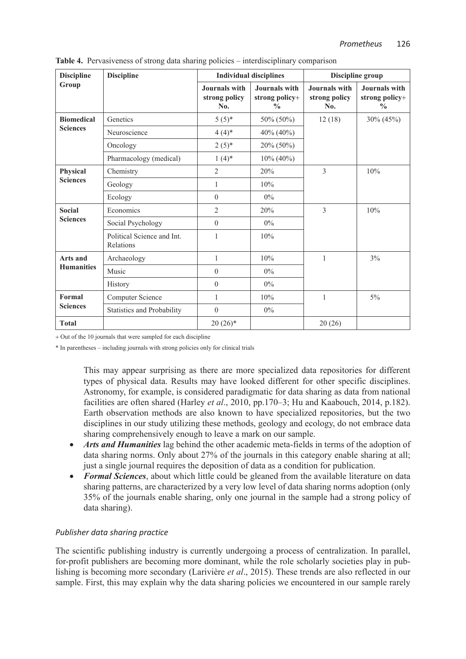| <b>Discipline</b> | <b>Discipline</b>                       |                                       | <b>Individual disciplines</b>                    | Discipline group                      |                                                  |
|-------------------|-----------------------------------------|---------------------------------------|--------------------------------------------------|---------------------------------------|--------------------------------------------------|
| Group             |                                         | Journals with<br>strong policy<br>No. | Journals with<br>strong policy+<br>$\frac{0}{0}$ | Journals with<br>strong policy<br>No. | Journals with<br>strong policy+<br>$\frac{0}{0}$ |
| <b>Biomedical</b> | Genetics                                | $5(5)^*$                              | 50% (50%)                                        | 12(18)                                | 30% (45%)                                        |
| <b>Sciences</b>   | Neuroscience                            | $4(4)*$                               | 40% (40%)                                        |                                       |                                                  |
|                   | Oncology                                | $2(5)*$                               | 20% (50%)                                        |                                       |                                                  |
|                   | Pharmacology (medical)                  | $1(4)$ *                              | $10\% (40\%)$                                    |                                       |                                                  |
| Physical          | Chemistry                               | 2                                     | 20%                                              | 3                                     | 10%                                              |
| <b>Sciences</b>   | Geology                                 | 1                                     | 10%                                              |                                       |                                                  |
|                   | Ecology                                 | $\boldsymbol{0}$                      | $0\%$                                            |                                       |                                                  |
| <b>Social</b>     | Economics                               | $\overline{c}$                        | 20%                                              | 3                                     | 10%                                              |
| <b>Sciences</b>   | Social Psychology                       | $\theta$                              | $0\%$                                            |                                       |                                                  |
|                   | Political Science and Int.<br>Relations | 1                                     | 10%                                              |                                       |                                                  |
| <b>Arts and</b>   | Archaeology                             | $\mathbf{1}$                          | 10%                                              | 1                                     | 3%                                               |
| <b>Humanities</b> | Music                                   | $\boldsymbol{0}$                      | $0\%$                                            |                                       |                                                  |
|                   | History                                 | $\boldsymbol{0}$                      | $0\%$                                            |                                       |                                                  |
| Formal            | Computer Science                        | 1                                     | 10%                                              | 1                                     | $5\%$                                            |
| <b>Sciences</b>   | Statistics and Probability              | $\overline{0}$                        | 0%                                               |                                       |                                                  |
| <b>Total</b>      |                                         | $20(26)*$                             |                                                  | 20(26)                                |                                                  |

**Table 4.** Pervasiveness of strong data sharing policies – interdisciplinary comparison

+ Out of the 10 journals that were sampled for each discipline

\* In parentheses – including journals with strong policies only for clinical trials

This may appear surprising as there are more specialized data repositories for different types of physical data. Results may have looked different for other specific disciplines. Astronomy, for example, is considered paradigmatic for data sharing as data from national facilities are often shared (Harley *et al*., 2010, pp.170–3; Hu and Kaabouch, 2014, p.182). Earth observation methods are also known to have specialized repositories, but the two disciplines in our study utilizing these methods, geology and ecology, do not embrace data sharing comprehensively enough to leave a mark on our sample.

- *Arts and Humanities* lag behind the other academic meta-fields in terms of the adoption of data sharing norms. Only about 27% of the journals in this category enable sharing at all; just a single journal requires the deposition of data as a condition for publication.
- *Formal Sciences*, about which little could be gleaned from the available literature on data sharing patterns, are characterized by a very low level of data sharing norms adoption (only 35% of the journals enable sharing, only one journal in the sample had a strong policy of data sharing).

## *Publisher data sharing practice*

The scientific publishing industry is currently undergoing a process of centralization. In parallel, for-profit publishers are becoming more dominant, while the role scholarly societies play in publishing is becoming more secondary (Larivière *et al*., 2015). These trends are also reflected in our sample. First, this may explain why the data sharing policies we encountered in our sample rarely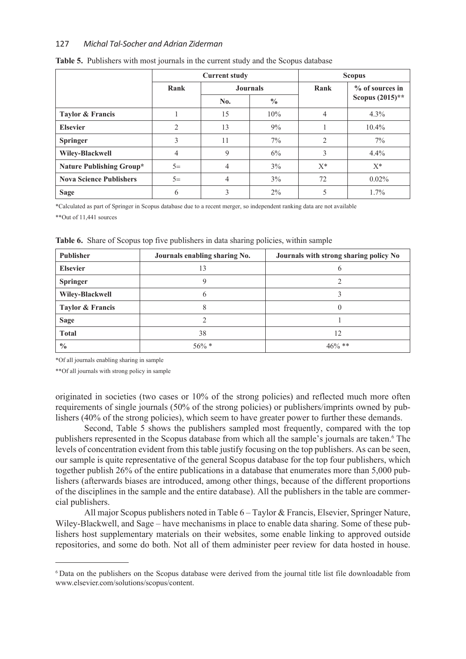|                                 | <b>Current study</b> |                 |               | <b>Scopus</b>  |                    |  |
|---------------------------------|----------------------|-----------------|---------------|----------------|--------------------|--|
|                                 | Rank                 | <b>Journals</b> |               | Rank           | $\%$ of sources in |  |
|                                 |                      | No.             | $\frac{0}{0}$ |                | Scopus $(2015)$ ** |  |
| Taylor & Francis                |                      | 15              | 10%           | 4              | $4.3\%$            |  |
| <b>Elsevier</b>                 | $\mathfrak{D}$       | 13              | 9%            |                | $10.4\%$           |  |
| <b>Springer</b>                 | 3                    | 11              | $7\%$         | $\overline{2}$ | $7\%$              |  |
| Wiley-Blackwell                 | 4                    | 9               | 6%            | 3              | 4.4%               |  |
| <b>Nature Publishing Group*</b> | $5=$                 | 4               | 3%            | $X^*$          | $X^*$              |  |
| <b>Nova Science Publishers</b>  | $5=$                 | 4               | 3%            | 72             | $0.02\%$           |  |
| <b>Sage</b>                     | 6                    | 3               | $2\%$         | 5              | 1.7%               |  |

#### **Table 5.** Publishers with most journals in the current study and the Scopus database

\*Calculated as part of Springer in Scopus database due to a recent merger, so independent ranking data are not available

\*\*Out of 11,441 sources

| <b>Publisher</b>            | Journals enabling sharing No. | Journals with strong sharing policy No |
|-----------------------------|-------------------------------|----------------------------------------|
| <b>Elsevier</b>             | 13                            |                                        |
| <b>Springer</b>             |                               |                                        |
| Wiley-Blackwell             | b                             |                                        |
| <b>Taylor &amp; Francis</b> |                               |                                        |
| <b>Sage</b>                 |                               |                                        |
| <b>Total</b>                | 38                            | 12                                     |
| $\frac{0}{0}$               | $56\% *$                      | $46\%$ **                              |

**Table 6.** Share of Scopus top five publishers in data sharing policies, within sample

\*Of all journals enabling sharing in sample

\*\*Of all journals with strong policy in sample

originated in societies (two cases or 10% of the strong policies) and reflected much more often requirements of single journals (50% of the strong policies) or publishers/imprints owned by publishers (40% of the strong policies), which seem to have greater power to further these demands.

Second, Table 5 shows the publishers sampled most frequently, compared with the top publishers represented in the Scopus database from which all the sample's journals are taken.<sup>6</sup> The levels of concentration evident from this table justify focusing on the top publishers. As can be seen, our sample is quite representative of the general Scopus database for the top four publishers, which together publish 26% of the entire publications in a database that enumerates more than 5,000 publishers (afterwards biases are introduced, among other things, because of the different proportions of the disciplines in the sample and the entire database). All the publishers in the table are commercial publishers.

All major Scopus publishers noted in Table 6 – Taylor & Francis, Elsevier, Springer Nature, Wiley-Blackwell, and Sage *–* have mechanisms in place to enable data sharing. Some of these publishers host supplementary materials on their websites, some enable linking to approved outside repositories, and some do both. Not all of them administer peer review for data hosted in house.

<sup>6</sup> Data on the publishers on the Scopus database were derived from the journal title list file downloadable from www.elsevier.com/solutions/scopus/content.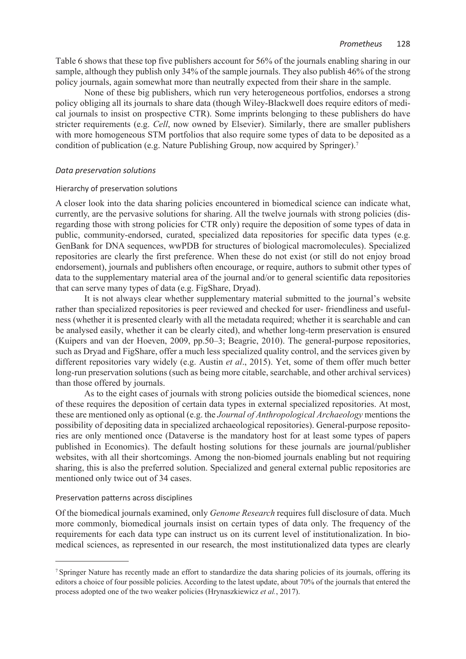Table 6 shows that these top five publishers account for 56% of the journals enabling sharing in our sample, although they publish only 34% of the sample journals. They also publish 46% of the strong policy journals, again somewhat more than neutrally expected from their share in the sample.

None of these big publishers, which run very heterogeneous portfolios, endorses a strong policy obliging all its journals to share data (though Wiley-Blackwell does require editors of medical journals to insist on prospective CTR). Some imprints belonging to these publishers do have stricter requirements (e.g. *Cell*, now owned by Elsevier). Similarly, there are smaller publishers with more homogeneous STM portfolios that also require some types of data to be deposited as a condition of publication (e.g. Nature Publishing Group, now acquired by Springer).7

## *Data preservation solutions*

#### Hierarchy of preservation solutions

A closer look into the data sharing policies encountered in biomedical science can indicate what, currently, are the pervasive solutions for sharing. All the twelve journals with strong policies (disregarding those with strong policies for CTR only) require the deposition of some types of data in public, community-endorsed, curated, specialized data repositories for specific data types (e.g. GenBank for DNA sequences, wwPDB for structures of biological macromolecules). Specialized repositories are clearly the first preference. When these do not exist (or still do not enjoy broad endorsement), journals and publishers often encourage, or require, authors to submit other types of data to the supplementary material area of the journal and/or to general scientific data repositories that can serve many types of data (e.g. FigShare, Dryad).

It is not always clear whether supplementary material submitted to the journal's website rather than specialized repositories is peer reviewed and checked for user- friendliness and usefulness (whether it is presented clearly with all the metadata required; whether it is searchable and can be analysed easily, whether it can be clearly cited), and whether long-term preservation is ensured (Kuipers and van der Hoeven, 2009, pp.50–3; Beagrie, 2010). The general-purpose repositories, such as Dryad and FigShare, offer a much less specialized quality control, and the services given by different repositories vary widely (e.g. Austin *et al*., 2015). Yet, some of them offer much better long-run preservation solutions (such as being more citable, searchable, and other archival services) than those offered by journals.

As to the eight cases of journals with strong policies outside the biomedical sciences, none of these requires the deposition of certain data types in external specialized repositories. At most, these are mentioned only as optional (e.g. the *Journal of Anthropological Archaeology* mentions the possibility of depositing data in specialized archaeological repositories). General-purpose repositories are only mentioned once (Dataverse is the mandatory host for at least some types of papers published in Economics). The default hosting solutions for these journals are journal/publisher websites, with all their shortcomings. Among the non-biomed journals enabling but not requiring sharing, this is also the preferred solution. Specialized and general external public repositories are mentioned only twice out of 34 cases.

## Preservation patterns across disciplines

Of the biomedical journals examined, only *Genome Research* requires full disclosure of data. Much more commonly, biomedical journals insist on certain types of data only. The frequency of the requirements for each data type can instruct us on its current level of institutionalization. In biomedical sciences, as represented in our research, the most institutionalized data types are clearly

<sup>7</sup> Springer Nature has recently made an effort to standardize the data sharing policies of its journals, offering its editors a choice of four possible policies. According to the latest update, about 70% of the journals that entered the process adopted one of the two weaker policies (Hrynaszkiewicz *et al.*, 2017).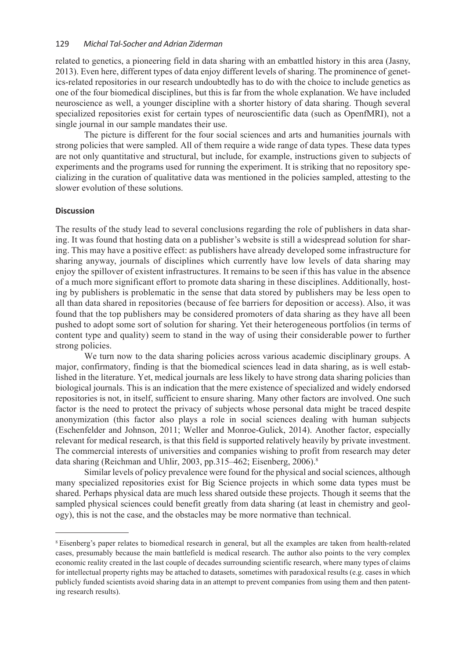related to genetics, a pioneering field in data sharing with an embattled history in this area (Jasny, 2013). Even here, different types of data enjoy different levels of sharing. The prominence of genetics-related repositories in our research undoubtedly has to do with the choice to include genetics as one of the four biomedical disciplines, but this is far from the whole explanation. We have included neuroscience as well, a younger discipline with a shorter history of data sharing. Though several specialized repositories exist for certain types of neuroscientific data (such as OpenfMRI), not a single journal in our sample mandates their use.

The picture is different for the four social sciences and arts and humanities journals with strong policies that were sampled. All of them require a wide range of data types. These data types are not only quantitative and structural, but include, for example, instructions given to subjects of experiments and the programs used for running the experiment. It is striking that no repository specializing in the curation of qualitative data was mentioned in the policies sampled, attesting to the slower evolution of these solutions.

#### **Discussion**

The results of the study lead to several conclusions regarding the role of publishers in data sharing. It was found that hosting data on a publisher's website is still a widespread solution for sharing. This may have a positive effect: as publishers have already developed some infrastructure for sharing anyway, journals of disciplines which currently have low levels of data sharing may enjoy the spillover of existent infrastructures. It remains to be seen if this has value in the absence of a much more significant effort to promote data sharing in these disciplines. Additionally, hosting by publishers is problematic in the sense that data stored by publishers may be less open to all than data shared in repositories (because of fee barriers for deposition or access). Also, it was found that the top publishers may be considered promoters of data sharing as they have all been pushed to adopt some sort of solution for sharing. Yet their heterogeneous portfolios (in terms of content type and quality) seem to stand in the way of using their considerable power to further strong policies.

We turn now to the data sharing policies across various academic disciplinary groups. A major, confirmatory, finding is that the biomedical sciences lead in data sharing, as is well established in the literature. Yet, medical journals are less likely to have strong data sharing policies than biological journals. This is an indication that the mere existence of specialized and widely endorsed repositories is not, in itself, sufficient to ensure sharing. Many other factors are involved. One such factor is the need to protect the privacy of subjects whose personal data might be traced despite anonymization (this factor also plays a role in social sciences dealing with human subjects (Eschenfelder and Johnson, 2011; Weller and Monroe-Gulick, 2014). Another factor, especially relevant for medical research, is that this field is supported relatively heavily by private investment. The commercial interests of universities and companies wishing to profit from research may deter data sharing (Reichman and Uhlir, 2003, pp.315–462; Eisenberg, 2006).<sup>8</sup>

Similar levels of policy prevalence were found for the physical and social sciences, although many specialized repositories exist for Big Science projects in which some data types must be shared. Perhaps physical data are much less shared outside these projects. Though it seems that the sampled physical sciences could benefit greatly from data sharing (at least in chemistry and geology), this is not the case, and the obstacles may be more normative than technical.

<sup>8</sup> Eisenberg's paper relates to biomedical research in general, but all the examples are taken from health-related cases, presumably because the main battlefield is medical research. The author also points to the very complex economic reality created in the last couple of decades surrounding scientific research, where many types of claims for intellectual property rights may be attached to datasets, sometimes with paradoxical results (e.g. cases in which publicly funded scientists avoid sharing data in an attempt to prevent companies from using them and then patenting research results).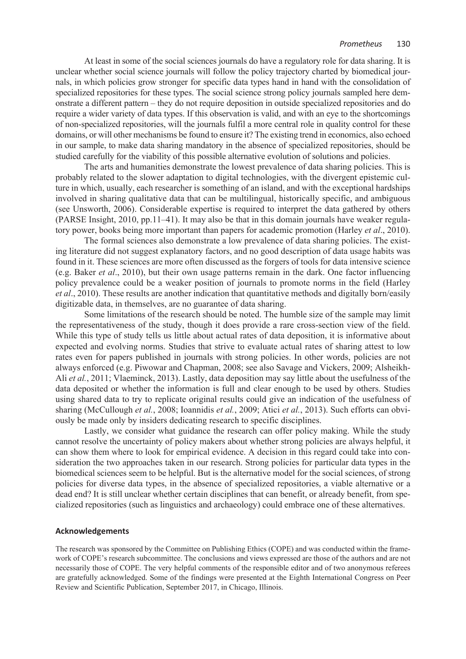At least in some of the social sciences journals do have a regulatory role for data sharing. It is unclear whether social science journals will follow the policy trajectory charted by biomedical journals, in which policies grow stronger for specific data types hand in hand with the consolidation of specialized repositories for these types. The social science strong policy journals sampled here demonstrate a different pattern – they do not require deposition in outside specialized repositories and do require a wider variety of data types. If this observation is valid, and with an eye to the shortcomings of non-specialized repositories, will the journals fulfil a more central role in quality control for these domains, or will other mechanisms be found to ensure it? The existing trend in economics, also echoed in our sample, to make data sharing mandatory in the absence of specialized repositories, should be studied carefully for the viability of this possible alternative evolution of solutions and policies.

The arts and humanities demonstrate the lowest prevalence of data sharing policies. This is probably related to the slower adaptation to digital technologies, with the divergent epistemic culture in which, usually, each researcher is something of an island, and with the exceptional hardships involved in sharing qualitative data that can be multilingual, historically specific, and ambiguous (see Unsworth, 2006). Considerable expertise is required to interpret the data gathered by others (PARSE Insight, 2010, pp.11–41). It may also be that in this domain journals have weaker regulatory power, books being more important than papers for academic promotion (Harley *et al*., 2010).

The formal sciences also demonstrate a low prevalence of data sharing policies. The existing literature did not suggest explanatory factors, and no good description of data usage habits was found in it. These sciences are more often discussed as the forgers of tools for data intensive science (e.g. Baker *et al*., 2010), but their own usage patterns remain in the dark. One factor influencing policy prevalence could be a weaker position of journals to promote norms in the field (Harley *et al*., 2010). These results are another indication that quantitative methods and digitally born/easily digitizable data, in themselves, are no guarantee of data sharing.

Some limitations of the research should be noted. The humble size of the sample may limit the representativeness of the study, though it does provide a rare cross-section view of the field. While this type of study tells us little about actual rates of data deposition, it is informative about expected and evolving norms. Studies that strive to evaluate actual rates of sharing attest to low rates even for papers published in journals with strong policies. In other words, policies are not always enforced (e.g. Piwowar and Chapman, 2008; see also Savage and Vickers, 2009; Alsheikh-Ali *et al.*, 2011; Vlaeminck, 2013). Lastly, data deposition may say little about the usefulness of the data deposited or whether the information is full and clear enough to be used by others. Studies using shared data to try to replicate original results could give an indication of the usefulness of sharing (McCullough *et al.*, 2008; Ioannidis *et al.*, 2009; Atici *et al.*, 2013). Such efforts can obviously be made only by insiders dedicating research to specific disciplines.

Lastly, we consider what guidance the research can offer policy making. While the study cannot resolve the uncertainty of policy makers about whether strong policies are always helpful, it can show them where to look for empirical evidence. A decision in this regard could take into consideration the two approaches taken in our research. Strong policies for particular data types in the biomedical sciences seem to be helpful. But is the alternative model for the social sciences, of strong policies for diverse data types, in the absence of specialized repositories, a viable alternative or a dead end? It is still unclear whether certain disciplines that can benefit, or already benefit, from specialized repositories (such as linguistics and archaeology) could embrace one of these alternatives.

#### **Acknowledgements**

The research was sponsored by the Committee on Publishing Ethics (COPE) and was conducted within the framework of COPE's research subcommittee. The conclusions and views expressed are those of the authors and are not necessarily those of COPE. The very helpful comments of the responsible editor and of two anonymous referees are gratefully acknowledged. Some of the findings were presented at the Eighth International Congress on Peer Review and Scientific Publication, September 2017, in Chicago, Illinois.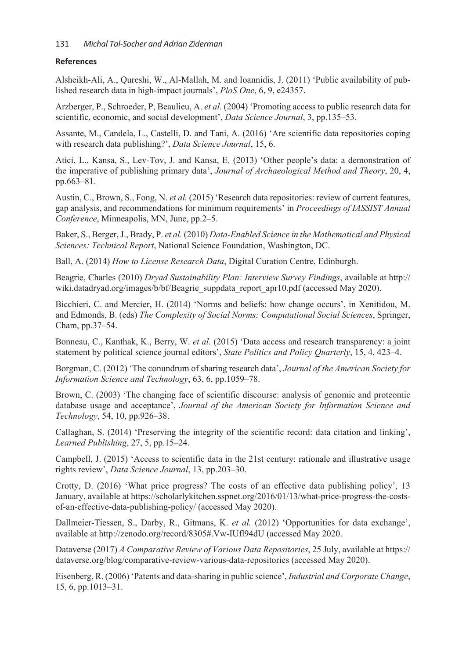## **References**

Alsheikh-Ali, A., Qureshi, W., Al-Mallah, M. and Ioannidis, J. (2011) 'Public availability of published research data in high-impact journals', *PloS One*, 6, 9, e24357.

Arzberger, P., Schroeder, P, Beaulieu, A. *et al.* (2004) 'Promoting access to public research data for scientific, economic, and social development', *Data Science Journal*, 3, pp.135–53.

Assante, M., Candela, L., Castelli, D. and Tani, A. (2016) 'Are scientific data repositories coping with research data publishing?', *Data Science Journal*, 15, 6.

Atici, L., Kansa, S., Lev-Tov, J. and Kansa, E. (2013) 'Other people's data: a demonstration of the imperative of publishing primary data', *Journal of Archaeological Method and Theory*, 20, 4, pp.663–81.

Austin, C., Brown, S., Fong, N. *et al.* (2015) 'Research data repositories: review of current features, gap analysis, and recommendations for minimum requirements' in *Proceedings of IASSIST Annual Conference*, Minneapolis, MN, June, pp.2–5.

Baker, S., Berger, J., Brady, P. *et al.* (2010) *Data-Enabled Science in the Mathematical and Physical Sciences: Technical Report*, National Science Foundation, Washington, DC.

Ball, A. (2014) *How to License Research Data*, Digital Curation Centre, Edinburgh.

Beagrie, Charles (2010) *Dryad Sustainability Plan: Interview Survey Findings*, available at http:// wiki.datadryad.org/images/b/bf/Beagrie\_suppdata\_report\_apr10.pdf (accessed May 2020).

Bicchieri, C. and Mercier, H. (2014) 'Norms and beliefs: how change occurs', in Xenitidou, M. and Edmonds, B. (eds) *The Complexity of Social Norms: Computational Social Sciences*, Springer, Cham, pp.37–54.

Bonneau, C., Kanthak, K., Berry, W. *et al.* (2015) 'Data access and research transparency: a joint statement by political science journal editors', *State Politics and Policy Quarterly*, 15, 4, 423–4.

Borgman, C. (2012) 'The conundrum of sharing research data', *Journal of the American Society for Information Science and Technology*, 63, 6, pp.1059–78.

Brown, C. (2003) 'The changing face of scientific discourse: analysis of genomic and proteomic database usage and acceptance', *Journal of the American Society for Information Science and Technology*, 54, 10, pp.926–38.

Callaghan, S. (2014) 'Preserving the integrity of the scientific record: data citation and linking', *Learned Publishing*, 27, 5, pp.15–24.

Campbell, J. (2015) 'Access to scientific data in the 21st century: rationale and illustrative usage rights review', *Data Science Journal*, 13, pp.203–30.

Crotty, D. (2016) 'What price progress? The costs of an effective data publishing policy', 13 January, available at https://scholarlykitchen.sspnet.org/2016/01/13/what-price-progress-the-costsof-an-effective-data-publishing-policy/ (accessed May 2020).

Dallmeier-Tiessen, S., Darby, R., Gitmans, K. *et al.* (2012) 'Opportunities for data exchange', available at http://zenodo.org/record/8305#.Vw-IUfl94dU (accessed May 2020.

Dataverse (2017) *A Comparative Review of Various Data Repositories*, 25 July, available at https:// dataverse.org/blog/comparative-review-various-data-repositories (accessed May 2020).

Eisenberg, R. (2006) 'Patents and data-sharing in public science', *Industrial and Corporate Change*, 15, 6, pp.1013–31.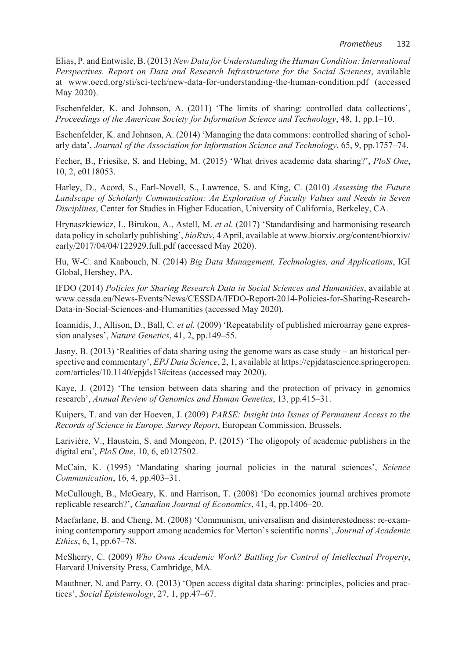Elias, P. and Entwisle, B. (2013) *New Data for Understanding the Human Condition: International Perspectives. Report on Data and Research Infrastructure for the Social Sciences*, available at www.oecd.org/sti/sci-tech/new-data-for-understanding-the-human-condition.pdf (accessed May 2020).

Eschenfelder, K. and Johnson, A. (2011) 'The limits of sharing: controlled data collections', *Proceedings of the American Society for Information Science and Technology*, 48, 1, pp.1–10.

Eschenfelder, K. and Johnson, A. (2014) 'Managing the data commons: controlled sharing of scholarly data', *Journal of the Association for Information Science and Technology*, 65, 9, pp.1757–74.

Fecher, B., Friesike, S. and Hebing, M. (2015) 'What drives academic data sharing?', *PloS One*, 10, 2, e0118053.

Harley, D., Acord, S., Earl-Novell, S., Lawrence, S. and King, C. (2010) *Assessing the Future Landscape of Scholarly Communication: An Exploration of Faculty Values and Needs in Seven Disciplines*, Center for Studies in Higher Education, University of California, Berkeley, CA.

Hrynaszkiewicz, I., Birukou, A., Astell, M. *et al.* (2017) 'Standardising and harmonising research data policy in scholarly publishing', *bioRxiv*, 4 April, available at www.biorxiv.org/content/biorxiv/ early/2017/04/04/122929.full.pdf (accessed May 2020).

Hu, W-C. and Kaabouch, N. (2014) *Big Data Management, Technologies, and Applications*, IGI Global, Hershey, PA.

IFDO (2014) *Policies for Sharing Research Data in Social Sciences and Humanities*, available at www.cessda.eu/News-Events/News/CESSDA/IFDO-Report-2014-Policies-for-Sharing-Research-Data-in-Social-Sciences-and-Humanities (accessed May 2020).

Ioannidis, J., Allison, D., Ball, C. *et al.* (2009) 'Repeatability of published microarray gene expression analyses', *Nature Genetics*, 41, 2, pp.149–55.

Jasny, B. (2013) 'Realities of data sharing using the genome wars as case study – an historical perspective and commentary', *EPJ Data Science*, 2, 1, available at https://epjdatascience.springeropen. com/articles/10.1140/epjds13#citeas (accessed may 2020).

Kaye, J. (2012) 'The tension between data sharing and the protection of privacy in genomics research', *Annual Review of Genomics and Human Genetics*, 13, pp.415–31.

Kuipers, T. and van der Hoeven, J. (2009) *PARSE: Insight into Issues of Permanent Access to the Records of Science in Europe. Survey Report*, European Commission, Brussels.

Larivière, V., Haustein, S. and Mongeon, P. (2015) 'The oligopoly of academic publishers in the digital era', *PloS One*, 10, 6, e0127502.

McCain, K. (1995) 'Mandating sharing journal policies in the natural sciences', *Science Communication*, 16, 4, pp.403–31.

McCullough, B., McGeary, K. and Harrison, T. (2008) 'Do economics journal archives promote replicable research?', *Canadian Journal of Economics*, 41, 4, pp.1406–20.

Macfarlane, B. and Cheng, M. (2008) 'Communism, universalism and disinterestedness: re-examining contemporary support among academics for Merton's scientific norms', *Journal of Academic Ethics*, 6, 1, pp.67–78.

McSherry, C. (2009) *Who Owns Academic Work? Battling for Control of Intellectual Property*, Harvard University Press, Cambridge, MA.

Mauthner, N. and Parry, O. (2013) 'Open access digital data sharing: principles, policies and practices', *Social Epistemology*, 27, 1, pp.47–67.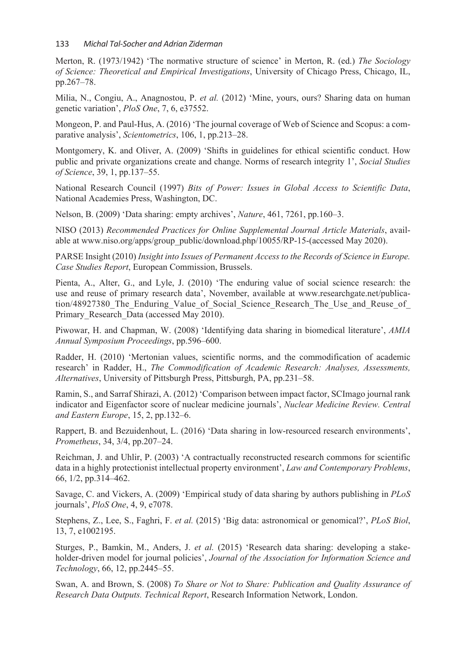Merton, R. (1973/1942) 'The normative structure of science' in Merton, R. (ed.) *The Sociology of Science: Theoretical and Empirical Investigations*, University of Chicago Press, Chicago, IL, pp.267–78.

Milia, N., Congiu, A., Anagnostou, P. *et al.* (2012) 'Mine, yours, ours? Sharing data on human genetic variation', *PloS One*, 7, 6, e37552.

Mongeon, P. and Paul-Hus, A. (2016) 'The journal coverage of Web of Science and Scopus: a comparative analysis', *Scientometrics*, 106, 1, pp.213–28.

Montgomery, K. and Oliver, A. (2009) 'Shifts in guidelines for ethical scientific conduct. How public and private organizations create and change. Norms of research integrity 1', *Social Studies of Science*, 39, 1, pp.137–55.

National Research Council (1997) *Bits of Power: Issues in Global Access to Scientific Data*, National Academies Press, Washington, DC.

Nelson, B. (2009) 'Data sharing: empty archives', *Nature*, 461, 7261, pp.160–3.

NISO (2013) *Recommended Practices for Online Supplemental Journal Article Materials*, available at www.niso.org/apps/group\_public/download.php/10055/RP-15-(accessed May 2020).

PARSE Insight (2010) *Insight into Issues of Permanent Access to the Records of Science in Europe. Case Studies Report*, European Commission, Brussels.

Pienta, A., Alter, G., and Lyle, J. (2010) 'The enduring value of social science research: the use and reuse of primary research data', November, available at www.researchgate.net/publication/48927380 The Enduring Value of Social Science Research The Use and Reuse of Primary Research Data (accessed May 2010).

Piwowar, H. and Chapman, W. (2008) 'Identifying data sharing in biomedical literature', *AMIA Annual Symposium Proceedings*, pp.596–600.

Radder, H. (2010) 'Mertonian values, scientific norms, and the commodification of academic research' in Radder, H., *The Commodification of Academic Research: Analyses, Assessments, Alternatives*, University of Pittsburgh Press, Pittsburgh, PA, pp.231–58.

Ramin, S., and Sarraf Shirazi, A. (2012) 'Comparison between impact factor, SCImago journal rank indicator and Eigenfactor score of nuclear medicine journals', *Nuclear Medicine Review. Central and Eastern Europe*, 15, 2, pp.132–6.

Rappert, B. and Bezuidenhout, L. (2016) 'Data sharing in low-resourced research environments', *Prometheus*, 34, 3/4, pp.207–24.

Reichman, J. and Uhlir, P. (2003) 'A contractually reconstructed research commons for scientific data in a highly protectionist intellectual property environment', *Law and Contemporary Problems*, 66, 1/2, pp.314–462.

Savage, C. and Vickers, A. (2009) 'Empirical study of data sharing by authors publishing in *PLoS* journals', *PloS One*, 4, 9, e7078.

Stephens, Z., Lee, S., Faghri, F. *et al.* (2015) 'Big data: astronomical or genomical?', *PLoS Biol*, 13, 7, e1002195.

Sturges, P., Bamkin, M., Anders, J. *et al.* (2015) 'Research data sharing: developing a stakeholder-driven model for journal policies', *Journal of the Association for Information Science and Technology*, 66, 12, pp.2445–55.

Swan, A. and Brown, S. (2008) *To Share or Not to Share: Publication and Quality Assurance of Research Data Outputs. Technical Report*, Research Information Network, London.